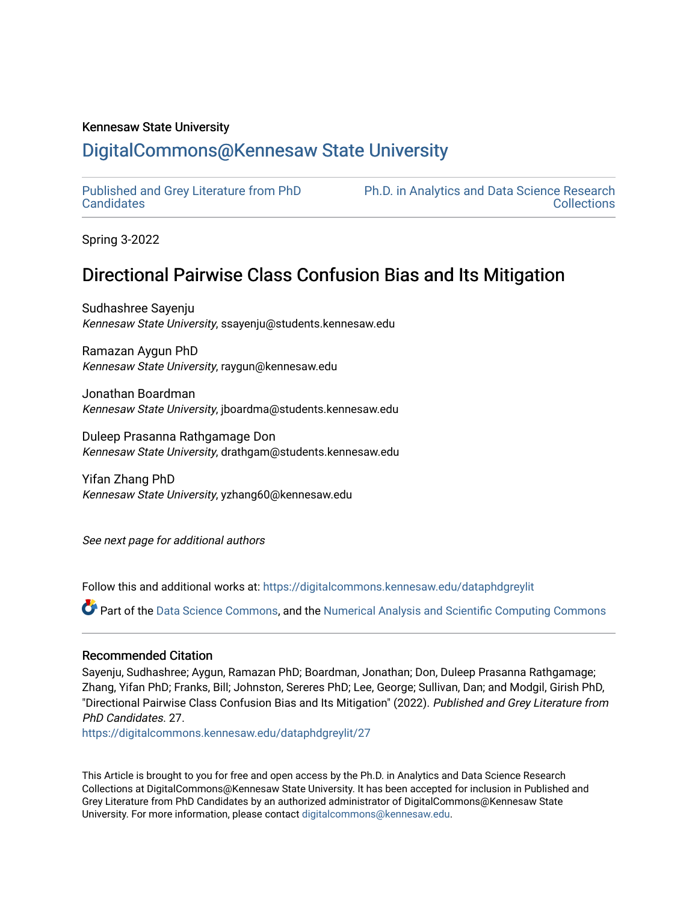### Kennesaw State University

# [DigitalCommons@Kennesaw State University](https://digitalcommons.kennesaw.edu/)

[Published and Grey Literature from PhD](https://digitalcommons.kennesaw.edu/dataphdgreylit) **[Candidates](https://digitalcommons.kennesaw.edu/dataphdgreylit)** 

[Ph.D. in Analytics and Data Science Research](https://digitalcommons.kennesaw.edu/bigdataphd)  **Collections** 

Spring 3-2022

# Directional Pairwise Class Confusion Bias and Its Mitigation

Sudhashree Sayenju Kennesaw State University, ssayenju@students.kennesaw.edu

Ramazan Aygun PhD Kennesaw State University, raygun@kennesaw.edu

Jonathan Boardman Kennesaw State University, jboardma@students.kennesaw.edu

Duleep Prasanna Rathgamage Don Kennesaw State University, drathgam@students.kennesaw.edu

Yifan Zhang PhD Kennesaw State University, yzhang60@kennesaw.edu

See next page for additional authors

Follow this and additional works at: [https://digitalcommons.kennesaw.edu/dataphdgreylit](https://digitalcommons.kennesaw.edu/dataphdgreylit?utm_source=digitalcommons.kennesaw.edu%2Fdataphdgreylit%2F27&utm_medium=PDF&utm_campaign=PDFCoverPages) 

Part of the [Data Science Commons,](http://network.bepress.com/hgg/discipline/1429?utm_source=digitalcommons.kennesaw.edu%2Fdataphdgreylit%2F27&utm_medium=PDF&utm_campaign=PDFCoverPages) and the [Numerical Analysis and Scientific Computing Commons](http://network.bepress.com/hgg/discipline/147?utm_source=digitalcommons.kennesaw.edu%2Fdataphdgreylit%2F27&utm_medium=PDF&utm_campaign=PDFCoverPages) 

## Recommended Citation

Sayenju, Sudhashree; Aygun, Ramazan PhD; Boardman, Jonathan; Don, Duleep Prasanna Rathgamage; Zhang, Yifan PhD; Franks, Bill; Johnston, Sereres PhD; Lee, George; Sullivan, Dan; and Modgil, Girish PhD, "Directional Pairwise Class Confusion Bias and Its Mitigation" (2022). Published and Grey Literature from PhD Candidates. 27.

[https://digitalcommons.kennesaw.edu/dataphdgreylit/27](https://digitalcommons.kennesaw.edu/dataphdgreylit/27?utm_source=digitalcommons.kennesaw.edu%2Fdataphdgreylit%2F27&utm_medium=PDF&utm_campaign=PDFCoverPages)

This Article is brought to you for free and open access by the Ph.D. in Analytics and Data Science Research Collections at DigitalCommons@Kennesaw State University. It has been accepted for inclusion in Published and Grey Literature from PhD Candidates by an authorized administrator of DigitalCommons@Kennesaw State University. For more information, please contact [digitalcommons@kennesaw.edu.](mailto:digitalcommons@kennesaw.edu)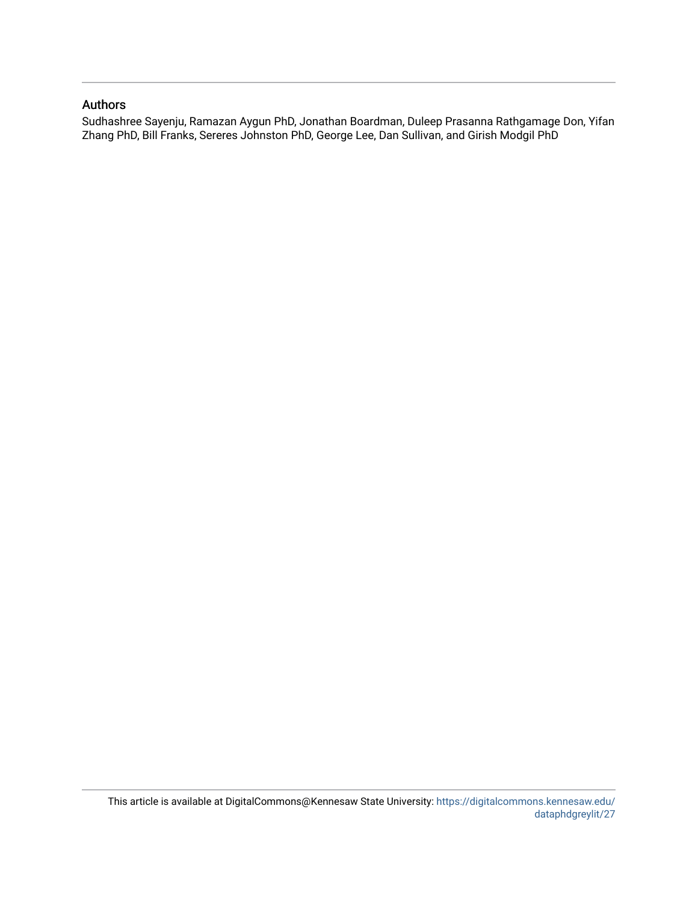## Authors

Sudhashree Sayenju, Ramazan Aygun PhD, Jonathan Boardman, Duleep Prasanna Rathgamage Don, Yifan Zhang PhD, Bill Franks, Sereres Johnston PhD, George Lee, Dan Sullivan, and Girish Modgil PhD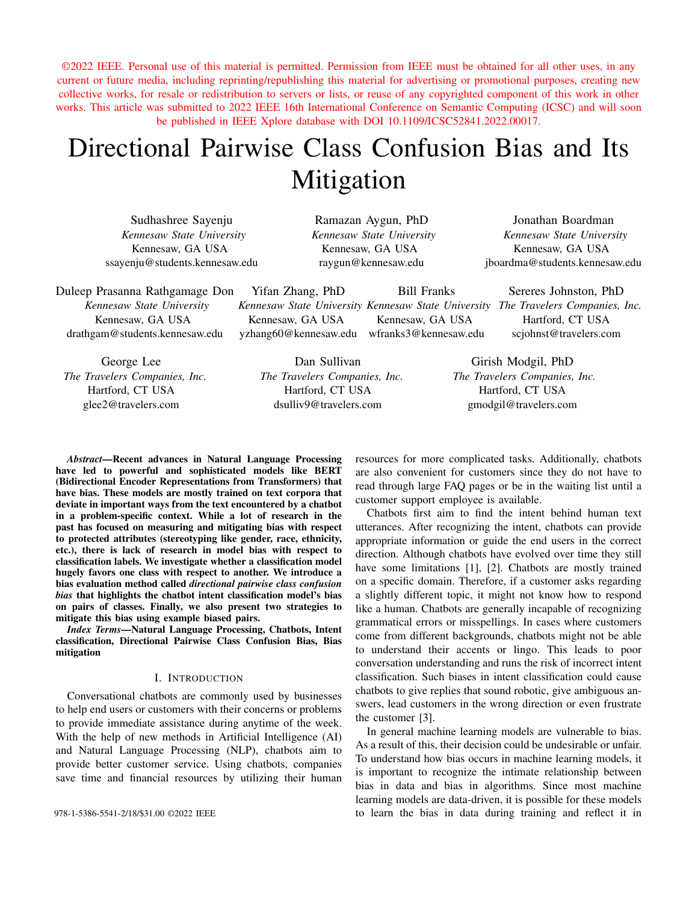©2022 IEEE. Personal use of this material is permitted. Permission from IEEE must be obtained for all other uses, in any current or future media, including reprinting/republishing this material for advertising or promotional purposes, creating new collective works, for resale or redistribution to servers or lists, or reuse of any copyrighted component of this work in other works. This article was submitted to 2022 IEEE 16th International Conference on Semantic Computing (ICSC) and will soon be published in IEEE Xplore database with DOI 10.1109/ICSC52841.2022.00017.

# Directional Pairwise Class Confusion Bias and Its Mitigation

Sudhashree Sayenju *Kennesaw State University* Kennesaw, GA USA ssayenju@students.kennesaw.edu

Ramazan Aygun, PhD *Kennesaw State University* Kennesaw, GA USA raygun@kennesaw.edu

Jonathan Boardman *Kennesaw State University* Kennesaw, GA USA jboardma@students.kennesaw.edu

Duleep Prasanna Rathgamage Don *Kennesaw State University* Kennesaw, GA USA drathgam@students.kennesaw.edu Yifan Zhang, PhD *Kennesaw State University Kennesaw State University The Travelers Companies, Inc.* Kennesaw, GA USA yzhang60@kennesaw.edu Bill Franks Kennesaw, GA USA wfranks3@kennesaw.edu Sereres Johnston, PhD Hartford, CT USA scjohnst@travelers.com

George Lee *The Travelers Companies, Inc.* Hartford, CT USA glee2@travelers.com

Dan Sullivan *The Travelers Companies, Inc.* Hartford, CT USA dsulliv9@travelers.com

Girish Modgil, PhD *The Travelers Companies, Inc.* Hartford, CT USA gmodgil@travelers.com

*Abstract*—Recent advances in Natural Language Processing have led to powerful and sophisticated models like BERT (Bidirectional Encoder Representations from Transformers) that have bias. These models are mostly trained on text corpora that deviate in important ways from the text encountered by a chatbot in a problem-specific context. While a lot of research in the past has focused on measuring and mitigating bias with respect to protected attributes (stereotyping like gender, race, ethnicity, etc.), there is lack of research in model bias with respect to classification labels. We investigate whether a classification model hugely favors one class with respect to another. We introduce a bias evaluation method called *directional pairwise class confusion bias* that highlights the chatbot intent classification model's bias on pairs of classes. Finally, we also present two strategies to mitigate this bias using example biased pairs.

*Index Terms*—Natural Language Processing, Chatbots, Intent classification, Directional Pairwise Class Confusion Bias, Bias mitigation

#### I. INTRODUCTION

Conversational chatbots are commonly used by businesses to help end users or customers with their concerns or problems to provide immediate assistance during anytime of the week. With the help of new methods in Artificial Intelligence (AI) and Natural Language Processing (NLP), chatbots aim to provide better customer service. Using chatbots, companies save time and financial resources by utilizing their human

resources for more complicated tasks. Additionally, chatbots are also convenient for customers since they do not have to read through large FAQ pages or be in the waiting list until a customer support employee is available.

Chatbots first aim to find the intent behind human text utterances. After recognizing the intent, chatbots can provide appropriate information or guide the end users in the correct direction. Although chatbots have evolved over time they still have some limitations [1], [2]. Chatbots are mostly trained on a specific domain. Therefore, if a customer asks regarding a slightly different topic, it might not know how to respond like a human. Chatbots are generally incapable of recognizing grammatical errors or misspellings. In cases where customers come from different backgrounds, chatbots might not be able to understand their accents or lingo. This leads to poor conversation understanding and runs the risk of incorrect intent classification. Such biases in intent classification could cause chatbots to give replies that sound robotic, give ambiguous answers, lead customers in the wrong direction or even frustrate the customer [3].

In general machine learning models are vulnerable to bias. As a result of this, their decision could be undesirable or unfair. To understand how bias occurs in machine learning models, it is important to recognize the intimate relationship between bias in data and bias in algorithms. Since most machine learning models are data-driven, it is possible for these models 978-1-5386-5541-2/18/\$31.00 ©2022 IEEE to learn the bias in data during training and reflect it in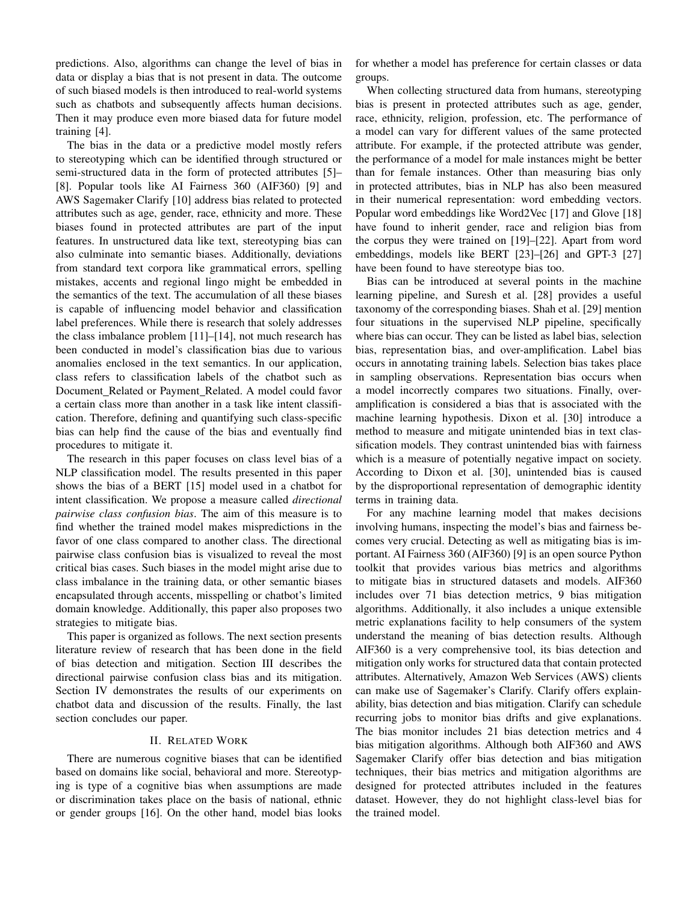predictions. Also, algorithms can change the level of bias in data or display a bias that is not present in data. The outcome of such biased models is then introduced to real-world systems such as chatbots and subsequently affects human decisions. Then it may produce even more biased data for future model training [4].

The bias in the data or a predictive model mostly refers to stereotyping which can be identified through structured or semi-structured data in the form of protected attributes [5]– [8]. Popular tools like AI Fairness 360 (AIF360) [9] and AWS Sagemaker Clarify [10] address bias related to protected attributes such as age, gender, race, ethnicity and more. These biases found in protected attributes are part of the input features. In unstructured data like text, stereotyping bias can also culminate into semantic biases. Additionally, deviations from standard text corpora like grammatical errors, spelling mistakes, accents and regional lingo might be embedded in the semantics of the text. The accumulation of all these biases is capable of influencing model behavior and classification label preferences. While there is research that solely addresses the class imbalance problem [11]–[14], not much research has been conducted in model's classification bias due to various anomalies enclosed in the text semantics. In our application, class refers to classification labels of the chatbot such as Document Related or Payment Related. A model could favor a certain class more than another in a task like intent classification. Therefore, defining and quantifying such class-specific bias can help find the cause of the bias and eventually find procedures to mitigate it.

The research in this paper focuses on class level bias of a NLP classification model. The results presented in this paper shows the bias of a BERT [15] model used in a chatbot for intent classification. We propose a measure called *directional pairwise class confusion bias*. The aim of this measure is to find whether the trained model makes mispredictions in the favor of one class compared to another class. The directional pairwise class confusion bias is visualized to reveal the most critical bias cases. Such biases in the model might arise due to class imbalance in the training data, or other semantic biases encapsulated through accents, misspelling or chatbot's limited domain knowledge. Additionally, this paper also proposes two strategies to mitigate bias.

This paper is organized as follows. The next section presents literature review of research that has been done in the field of bias detection and mitigation. Section III describes the directional pairwise confusion class bias and its mitigation. Section IV demonstrates the results of our experiments on chatbot data and discussion of the results. Finally, the last section concludes our paper.

#### II. RELATED WORK

There are numerous cognitive biases that can be identified based on domains like social, behavioral and more. Stereotyping is type of a cognitive bias when assumptions are made or discrimination takes place on the basis of national, ethnic or gender groups [16]. On the other hand, model bias looks for whether a model has preference for certain classes or data groups.

When collecting structured data from humans, stereotyping bias is present in protected attributes such as age, gender, race, ethnicity, religion, profession, etc. The performance of a model can vary for different values of the same protected attribute. For example, if the protected attribute was gender, the performance of a model for male instances might be better than for female instances. Other than measuring bias only in protected attributes, bias in NLP has also been measured in their numerical representation: word embedding vectors. Popular word embeddings like Word2Vec [17] and Glove [18] have found to inherit gender, race and religion bias from the corpus they were trained on [19]–[22]. Apart from word embeddings, models like BERT [23]–[26] and GPT-3 [27] have been found to have stereotype bias too.

Bias can be introduced at several points in the machine learning pipeline, and Suresh et al. [28] provides a useful taxonomy of the corresponding biases. Shah et al. [29] mention four situations in the supervised NLP pipeline, specifically where bias can occur. They can be listed as label bias, selection bias, representation bias, and over-amplification. Label bias occurs in annotating training labels. Selection bias takes place in sampling observations. Representation bias occurs when a model incorrectly compares two situations. Finally, overamplification is considered a bias that is associated with the machine learning hypothesis. Dixon et al. [30] introduce a method to measure and mitigate unintended bias in text classification models. They contrast unintended bias with fairness which is a measure of potentially negative impact on society. According to Dixon et al. [30], unintended bias is caused by the disproportional representation of demographic identity terms in training data.

For any machine learning model that makes decisions involving humans, inspecting the model's bias and fairness becomes very crucial. Detecting as well as mitigating bias is important. AI Fairness 360 (AIF360) [9] is an open source Python toolkit that provides various bias metrics and algorithms to mitigate bias in structured datasets and models. AIF360 includes over 71 bias detection metrics, 9 bias mitigation algorithms. Additionally, it also includes a unique extensible metric explanations facility to help consumers of the system understand the meaning of bias detection results. Although AIF360 is a very comprehensive tool, its bias detection and mitigation only works for structured data that contain protected attributes. Alternatively, Amazon Web Services (AWS) clients can make use of Sagemaker's Clarify. Clarify offers explainability, bias detection and bias mitigation. Clarify can schedule recurring jobs to monitor bias drifts and give explanations. The bias monitor includes 21 bias detection metrics and 4 bias mitigation algorithms. Although both AIF360 and AWS Sagemaker Clarify offer bias detection and bias mitigation techniques, their bias metrics and mitigation algorithms are designed for protected attributes included in the features dataset. However, they do not highlight class-level bias for the trained model.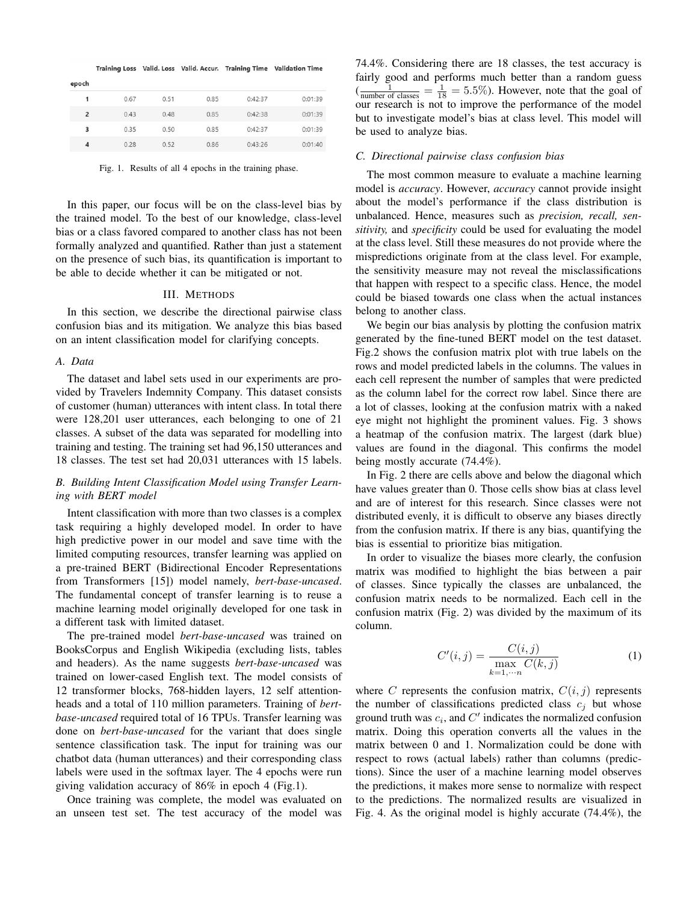|                         |      |      |      |         | Training Loss Valid. Loss Valid. Accur. Training Time Validation Time |
|-------------------------|------|------|------|---------|-----------------------------------------------------------------------|
| epoch                   |      |      |      |         |                                                                       |
| 1                       | 0.67 | 0.51 | 0.85 | 0:42:37 | 0:01:39                                                               |
| $\overline{2}$          | 0.43 | 0.48 | 0.85 | 0:42:38 | 0:01:39                                                               |
| 3                       | 0.35 | 0.50 | 0.85 | 0:42:37 | 0:01:39                                                               |
| $\overline{\mathbf{A}}$ | 0.28 | 0.52 | 0.86 | 0:43:26 | 0:01:40                                                               |

Fig. 1. Results of all 4 epochs in the training phase.

In this paper, our focus will be on the class-level bias by the trained model. To the best of our knowledge, class-level bias or a class favored compared to another class has not been formally analyzed and quantified. Rather than just a statement on the presence of such bias, its quantification is important to be able to decide whether it can be mitigated or not.

#### III. METHODS

In this section, we describe the directional pairwise class confusion bias and its mitigation. We analyze this bias based on an intent classification model for clarifying concepts.

#### *A. Data*

The dataset and label sets used in our experiments are provided by Travelers Indemnity Company. This dataset consists of customer (human) utterances with intent class. In total there were 128,201 user utterances, each belonging to one of 21 classes. A subset of the data was separated for modelling into training and testing. The training set had 96,150 utterances and 18 classes. The test set had 20,031 utterances with 15 labels.

#### *B. Building Intent Classification Model using Transfer Learning with BERT model*

Intent classification with more than two classes is a complex task requiring a highly developed model. In order to have high predictive power in our model and save time with the limited computing resources, transfer learning was applied on a pre-trained BERT (Bidirectional Encoder Representations from Transformers [15]) model namely, *bert-base-uncased*. The fundamental concept of transfer learning is to reuse a machine learning model originally developed for one task in a different task with limited dataset.

The pre-trained model *bert-base-uncased* was trained on BooksCorpus and English Wikipedia (excluding lists, tables and headers). As the name suggests *bert-base-uncased* was trained on lower-cased English text. The model consists of 12 transformer blocks, 768-hidden layers, 12 self attentionheads and a total of 110 million parameters. Training of *bertbase-uncased* required total of 16 TPUs. Transfer learning was done on *bert-base-uncased* for the variant that does single sentence classification task. The input for training was our chatbot data (human utterances) and their corresponding class labels were used in the softmax layer. The 4 epochs were run giving validation accuracy of 86% in epoch 4 (Fig.1).

Once training was complete, the model was evaluated on an unseen test set. The test accuracy of the model was 74.4%. Considering there are 18 classes, the test accuracy is fairly good and performs much better than a random guess  $\left(\frac{1}{\text{number of classes}}\right) = \frac{1}{18} = 5.5\%$ ). However, note that the goal of our research is not to improve the performance of the model but to investigate model's bias at class level. This model will be used to analyze bias.

#### *C. Directional pairwise class confusion bias*

The most common measure to evaluate a machine learning model is *accuracy*. However, *accuracy* cannot provide insight about the model's performance if the class distribution is unbalanced. Hence, measures such as *precision, recall, sensitivity,* and *specificity* could be used for evaluating the model at the class level. Still these measures do not provide where the mispredictions originate from at the class level. For example, the sensitivity measure may not reveal the misclassifications that happen with respect to a specific class. Hence, the model could be biased towards one class when the actual instances belong to another class.

We begin our bias analysis by plotting the confusion matrix generated by the fine-tuned BERT model on the test dataset. Fig.2 shows the confusion matrix plot with true labels on the rows and model predicted labels in the columns. The values in each cell represent the number of samples that were predicted as the column label for the correct row label. Since there are a lot of classes, looking at the confusion matrix with a naked eye might not highlight the prominent values. Fig. 3 shows a heatmap of the confusion matrix. The largest (dark blue) values are found in the diagonal. This confirms the model being mostly accurate (74.4%).

In Fig. 2 there are cells above and below the diagonal which have values greater than 0. Those cells show bias at class level and are of interest for this research. Since classes were not distributed evenly, it is difficult to observe any biases directly from the confusion matrix. If there is any bias, quantifying the bias is essential to prioritize bias mitigation.

In order to visualize the biases more clearly, the confusion matrix was modified to highlight the bias between a pair of classes. Since typically the classes are unbalanced, the confusion matrix needs to be normalized. Each cell in the confusion matrix (Fig. 2) was divided by the maximum of its column.

$$
C'(i,j) = \frac{C(i,j)}{\max_{k=1,\cdots n} C(k,j)}
$$
(1)

where C represents the confusion matrix,  $C(i, j)$  represents the number of classifications predicted class  $c_j$  but whose ground truth was  $c_i$ , and  $C'$  indicates the normalized confusion matrix. Doing this operation converts all the values in the matrix between 0 and 1. Normalization could be done with respect to rows (actual labels) rather than columns (predictions). Since the user of a machine learning model observes the predictions, it makes more sense to normalize with respect to the predictions. The normalized results are visualized in Fig. 4. As the original model is highly accurate (74.4%), the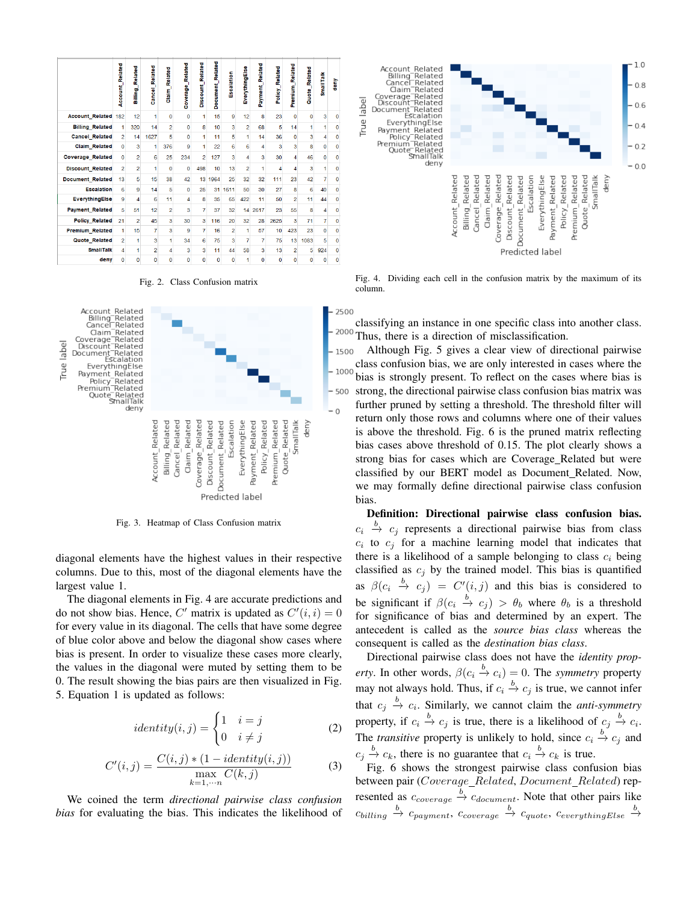|                         | <b>Account Related</b> | Related<br><b>Lauma</b> | <b>Cancel Related</b> | Related<br>Claim | Coverage_Related | <b>Discount</b> Related | Related<br><b>Document</b> | Escalation     | EverythingElse   | Related<br>Payment | Policy_Related | Related<br><b>Premium</b> | Related<br>Quote_I      | <b>SmallTalk</b> | deny         |
|-------------------------|------------------------|-------------------------|-----------------------|------------------|------------------|-------------------------|----------------------------|----------------|------------------|--------------------|----------------|---------------------------|-------------------------|------------------|--------------|
| <b>Account_Related</b>  | 182                    | 12                      | 1                     | $\mathbf{0}$     | $\Omega$         | 1                       | 15                         | 9              | 12               | 8                  | 23             | $\Omega$                  | $\mathbf{O}$            | 3                | $\mathbf{0}$ |
| <b>Billing Related</b>  | 1                      | 320                     | 14                    | $\overline{2}$   | $\mathbf{0}$     | 8                       | 10                         | 3              | $\overline{2}$   | 68                 | 5              | 14                        | 1                       | 1                | o            |
| <b>Cancel Related</b>   | $\overline{a}$         | 14                      | 1627                  | 5                | $\mathbf{O}$     | 1                       | 11                         | 5              | 1                | 14                 | 36             | $\overline{0}$            | $\overline{\mathbf{3}}$ | 4                | $\mathbf 0$  |
| <b>Claim Related</b>    | $\mathbf{0}$           | 3                       | 1                     | 376              | 9                | 1                       | 22                         | 6              | 6                | 4                  | 3              | 3                         | 8                       | $\mathbf 0$      | $\mathbf 0$  |
| <b>Coverage Related</b> | $\Omega$               | $\overline{a}$          | 6                     | 25               | 234              | $\overline{2}$          | 127                        | 3              | $\boldsymbol{A}$ | 3                  | 30             | 4                         | 46                      | $\bf{0}$         | $\Omega$     |
| <b>Discount Related</b> | $\overline{a}$         | $\overline{a}$          | 1                     | $\mathbf 0$      | $\mathbf 0$      | 498                     | 10                         | 13             | $\overline{a}$   | 1                  | 4              | 4                         | 3                       | 1                | $\Omega$     |
| <b>Document Related</b> | 13                     | 5                       | 15                    | 38               | 42               | 13                      | 1964                       | 25             | 32               | 32                 | 111            | 23                        | 42                      | 7                | $\bf{0}$     |
| <b>Escalation</b>       | 6                      | 9                       | 14                    | 5                | $\Omega$         | 25                      | 31                         | 1611           | 50               | 30                 | 27             | 8                         | 6                       | 40               | o            |
| EverythingElse          | 9                      | $\overline{4}$          | 6                     | 11               | $\overline{4}$   | 8                       | 35                         | 65             | 422              | 11                 | 50             | $\overline{a}$            | 11                      | 44               | $\mathbf 0$  |
| <b>Payment Related</b>  | 5                      | 51                      | 12                    | $\overline{2}$   | 3                | 7                       | 37                         | 32             | 14               | 2617               | 23             | 55                        | 8                       | 4                | $\bf{0}$     |
| <b>Policy Related</b>   | 21                     | $\overline{a}$          | 45                    | 3                | 30               | 3                       | 116                        | 20             | 32               | 28                 | 2625           | 3                         | 71                      | 7                | $\mathbf{0}$ |
| Premium_Related         | 1                      | 15                      | 7                     | 3                | $\mathbf{Q}$     | 7                       | 16                         | $\overline{2}$ | 1                | 57                 | 10             | 423                       | 23                      | $\bf{0}$         | $\mathbf 0$  |
| <b>Quote Related</b>    | $\overline{a}$         | 1                       | 3                     | 1                | 34               | 6                       | 75                         | 3              | 7                | 7                  | 75             | 13                        | 1083                    | 5                | $\mathbf{0}$ |
| <b>SmallTalk</b>        | 4                      | 1                       | $\overline{2}$        | 4                | 3                | $\overline{\mathbf{3}}$ | 11                         | 44             | 58               | 3                  | 13             | $\overline{2}$            | 5                       | 924              | $\mathbf 0$  |
| deny                    | $\Omega$               | $\Omega$                | $\Omega$              | 0                | $\mathbf 0$      | $\mathbf 0$             | $\mathbf 0$                | $\mathbf 0$    | 1                | $\Omega$           | $\mathbf 0$    | $\mathbf 0$               | 0                       | $\bf{0}$         | $\Omega$     |

Fig. 2. Class Confusion matrix



Fig. 3. Heatmap of Class Confusion matrix

diagonal elements have the highest values in their respective columns. Due to this, most of the diagonal elements have the largest value 1.

The diagonal elements in Fig. 4 are accurate predictions and do not show bias. Hence, C' matrix is updated as  $C'(i, i) = 0$ for every value in its diagonal. The cells that have some degree of blue color above and below the diagonal show cases where bias is present. In order to visualize these cases more clearly, the values in the diagonal were muted by setting them to be 0. The result showing the bias pairs are then visualized in Fig. 5. Equation 1 is updated as follows:

$$
identity(i,j) = \begin{cases} 1 & i = j \\ 0 & i \neq j \end{cases}
$$
 (2)

$$
C'(i,j) = \frac{C(i,j) * (1 - identity(i,j))}{\max_{k=1,\cdots n} C(k,j)}
$$
(3)

We coined the term *directional pairwise class confusion bias* for evaluating the bias. This indicates the likelihood of



Fig. 4. Dividing each cell in the confusion matrix by the maximum of its column.

classifying an instance in one specific class into another class. 2000 Thus, there is a direction of misclassification.

Although Fig. 5 gives a clear view of directional pairwise 1500 class confusion bias, we are only interested in cases where the 1000 bias is strongly present. To reflect on the cases where bias is strong, the directional pairwise class confusion bias matrix was further pruned by setting a threshold. The threshold filter will return only those rows and columns where one of their values is above the threshold. Fig. 6 is the pruned matrix reflecting bias cases above threshold of 0.15. The plot clearly shows a strong bias for cases which are Coverage Related but were classified by our BERT model as Document Related. Now, we may formally define directional pairwise class confusion bias.

Definition: Directional pairwise class confusion bias.  $c_i \stackrel{b}{\rightarrow} c_j$  represents a directional pairwise bias from class  $c_i$  to  $c_j$  for a machine learning model that indicates that there is a likelihood of a sample belonging to class  $c_i$  being classified as  $c_j$  by the trained model. This bias is quantified as  $\beta(c_i \stackrel{b}{\rightarrow} c_j) = C'(i,j)$  and this bias is considered to be significant if  $\beta(c_i \stackrel{b}{\rightarrow} c_j) > \theta_b$  where  $\theta_b$  is a threshold for significance of bias and determined by an expert. The antecedent is called as the *source bias class* whereas the consequent is called as the *destination bias class*.

Directional pairwise class does not have the *identity property*. In other words,  $\beta(c_i \xrightarrow{b} c_i) = 0$ . The *symmetry* property may not always hold. Thus, if  $c_i \stackrel{b}{\rightarrow} c_j$  is true, we cannot infer that  $c_j \xrightarrow{b} c_i$ . Similarly, we cannot claim the *anti-symmetry* property, if  $c_i \stackrel{b}{\to} c_j$  is true, there is a likelihood of  $c_j \stackrel{b}{\to} c_i$ . The *transitive* property is unlikely to hold, since  $c_i \stackrel{b}{\rightarrow} c_j$  and  $c_j \stackrel{b}{\rightarrow} c_k$ , there is no guarantee that  $c_i \stackrel{b}{\rightarrow} c_k$  is true.

Fig. 6 shows the strongest pairwise class confusion bias between pair (Coverage\_Related, Document\_Related) represented as  $c_{coverage} \xrightarrow{b} c_{document}$ . Note that other pairs like  $c_{\text{billing}} \stackrel{b}{\rightarrow} c_{\text{payment}} , c_{\text{coverage}} \stackrel{b}{\rightarrow} c_{\text{quot}}, c_{\text{everythingElse}} \stackrel{b}{\rightarrow}$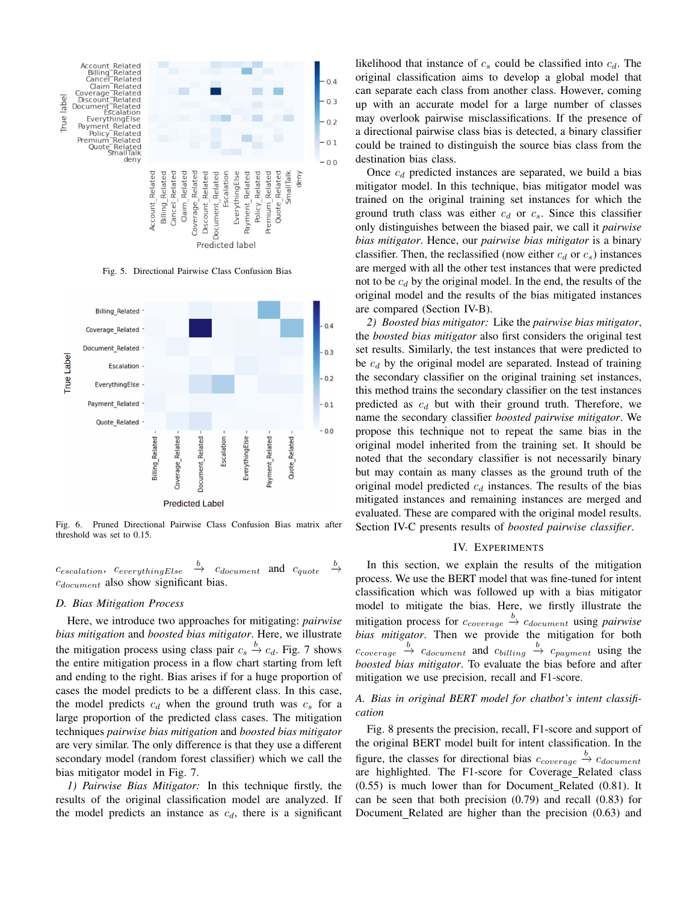

Fig. 5. Directional Pairwise Class Confusion Bias



Fig. 6. Pruned Directional Pairwise Class Confusion Bias matrix after threshold was set to 0.15.

 $c_{escalation}$ ,  $c_{everythingElse} \stackrel{b}{\rightarrow} c_{document}$  and  $c_{quote}$ b  $\stackrel{\scriptscriptstyle 0}{\rightarrow}$  $c_{document}$  also show significant bias.

#### *D. Bias Mitigation Process*

Here, we introduce two approaches for mitigating: *pairwise bias mitigation* and *boosted bias mitigator*. Here, we illustrate the mitigation process using class pair  $c_s \stackrel{b}{\rightarrow} c_d$ . Fig. 7 shows the entire mitigation process in a flow chart starting from left and ending to the right. Bias arises if for a huge proportion of cases the model predicts to be a different class. In this case, the model predicts  $c_d$  when the ground truth was  $c_s$  for a large proportion of the predicted class cases. The mitigation techniques *pairwise bias mitigation* and *boosted bias mitigator* are very similar. The only difference is that they use a different secondary model (random forest classifier) which we call the bias mitigator model in Fig. 7.

*1) Pairwise Bias Mitigator:* In this technique firstly, the results of the original classification model are analyzed. If the model predicts an instance as  $c_d$ , there is a significant likelihood that instance of  $c_s$  could be classified into  $c_d$ . The original classification aims to develop a global model that can separate each class from another class. However, coming up with an accurate model for a large number of classes may overlook pairwise misclassifications. If the presence of a directional pairwise class bias is detected, a binary classifier could be trained to distinguish the source bias class from the destination bias class.

Once  $c_d$  predicted instances are separated, we build a bias mitigator model. In this technique, bias mitigator model was trained on the original training set instances for which the ground truth class was either  $c_d$  or  $c_s$ . Since this classifier only distinguishes between the biased pair, we call it *pairwise bias mitigator*. Hence, our *pairwise bias mitigator* is a binary classifier. Then, the reclassified (now either  $c_d$  or  $c_s$ ) instances are merged with all the other test instances that were predicted not to be  $c_d$  by the original model. In the end, the results of the original model and the results of the bias mitigated instances are compared (Section IV-B).

*2) Boosted bias mitigator:* Like the *pairwise bias mitigator*, the *boosted bias mitigator* also first considers the original test set results. Similarly, the test instances that were predicted to be  $c_d$  by the original model are separated. Instead of training the secondary classifier on the original training set instances, this method trains the secondary classifier on the test instances predicted as  $c_d$  but with their ground truth. Therefore, we name the secondary classifier *boosted pairwise mitigator*. We propose this technique not to repeat the same bias in the original model inherited from the training set. It should be noted that the secondary classifier is not necessarily binary but may contain as many classes as the ground truth of the original model predicted  $c_d$  instances. The results of the bias mitigated instances and remaining instances are merged and evaluated. These are compared with the original model results. Section IV-C presents results of *boosted pairwise classifier*.

#### IV. EXPERIMENTS

In this section, we explain the results of the mitigation process. We use the BERT model that was fine-tuned for intent classification which was followed up with a bias mitigator model to mitigate the bias. Here, we firstly illustrate the mitigation process for  $c_{coverage} \xrightarrow{b} c_{document}$  using *pairwise bias mitigator*. Then we provide the mitigation for both  $c_{coverage} \stackrel{b}{\rightarrow} c_{document}$  and  $c_{billing} \stackrel{b}{\rightarrow} c_{payment}$  using the *boosted bias mitigator*. To evaluate the bias before and after mitigation we use precision, recall and F1-score.

#### *A. Bias in original BERT model for chatbot's intent classification*

Fig. 8 presents the precision, recall, F1-score and support of the original BERT model built for intent classification. In the figure, the classes for directional bias  $c_{coverage} \xrightarrow{b} c_{document}$ are highlighted. The F1-score for Coverage Related class (0.55) is much lower than for Document Related (0.81). It can be seen that both precision (0.79) and recall (0.83) for Document Related are higher than the precision (0.63) and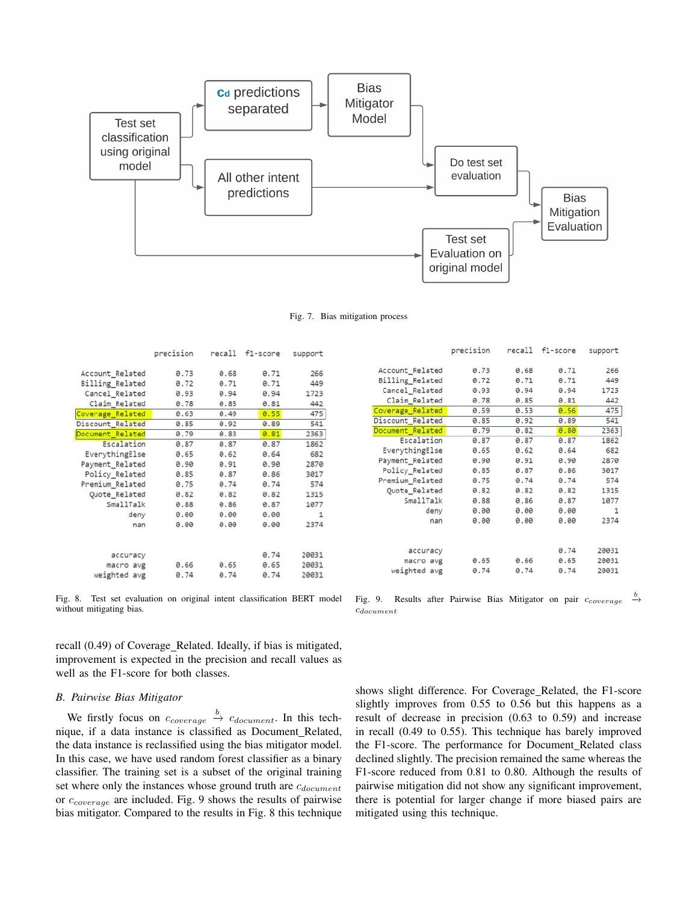

Fig. 7. Bias mitigation process

|                  | precision |      | recall f1-score | support |
|------------------|-----------|------|-----------------|---------|
| Account Related  | 0.73      | 0.68 | 0.71            | 266     |
| Billing Related  | 0.72      | 0.71 | 0.71            | 449     |
| Cancel_Related   | 0.93      | 0.94 | 0.94            | 1723    |
| Claim Related    | 0.78      | 0.85 | 0.81            | 442     |
| Coverage Related | 0.63      | 0.49 | 0.55            | 475     |
| Discount Related | 0.85      | 0.92 | 0.89            | 541     |
| Document_Related | 0.79      | 0.83 | 0.81            | 2363    |
| Escalation       | 0.87      | 0.87 | 0.87            | 1862    |
| EverythingElse   | 0.65      | 0.62 | 0.64            | 682     |
| Payment_Related  | 0.90      | 0.91 | 0.90            | 2870    |
| Policy Related   | 0.85      | 0.87 | 0.86            | 3017    |
| Premium_Related  | 0.75      | 0.74 | 0.74            | 574     |
| Quote Related    | 0.82      | 0.82 | 0.82            | 1315    |
| SmallTalk        | 0.88      | 0.86 | 0.87            | 1077    |
| deny             | 0.00      | 0.00 | 0.00            | 1       |
| nan              | 0.00      | 0.00 | 0.00            | 2374    |
| accuracy         |           |      | 0.74            | 20031   |
| macro avg        | 0.66      | 0.65 | 0.65            | 20031   |
| weighted avg     | 0.74      | 0.74 | 0.74            | 20031   |

Fig. 8. Test set evaluation on original intent classification BERT model without mitigating bias.

recall (0.49) of Coverage\_Related. Ideally, if bias is mitigated, improvement is expected in the precision and recall values as well as the F1-score for both classes.

#### *B. Pairwise Bias Mitigator*

We firstly focus on  $c_{coverage} \stackrel{b}{\rightarrow} c_{document}$ . In this technique, if a data instance is classified as Document Related, the data instance is reclassified using the bias mitigator model. In this case, we have used random forest classifier as a binary classifier. The training set is a subset of the original training set where only the instances whose ground truth are  $c_{document}$ or  $c_{coverage}$  are included. Fig. 9 shows the results of pairwise bias mitigator. Compared to the results in Fig. 8 this technique

|                  | precision | recall | tl-score | support |
|------------------|-----------|--------|----------|---------|
| Account Related  | 0.73      | 0.68   | 0.71     | 266     |
| Billing Related  | 0.72      | 0.71   | 0.71     | 449     |
| Cancel Related   | 0.93      | 0.94   | 0.94     | 1723    |
| Claim Related    | 0.78      | 0.85   | 0.81     | 442     |
| Coverage Related | 0.59      | 0.53   | 0.56     | 475     |
| Discount_Related | 0.85      | 0.92   | 0.89     | 541     |
| Document Related | 0.79      | 0.82   | 0.80     | 2363    |
| Escalation       | 0.87      | 0.87   | 0.87     | 1862    |
| EverythingElse   | 0.65      | 0.62   | 0.64     | 682     |
| Payment_Related  | 0.90      | 0.91   | 0.90     | 2870    |
| Policy Related   | 0.85      | 0.87   | 0.86     | 3017    |
| Premium_Related  | 0.75      | 0.74   | 0.74     | 574     |
| Quote_Related    | 0.82      | 0.82   | 0.82     | 1315    |
| SmallTalk        | 0.88      | 0.86   | 0.87     | 1077    |
| deny             | 0.00      | 0.00   | 0.00     | 1       |
| nan              | 0.00      | 0.00   | 0.00     | 2374    |
| accuracy         |           |        | 0.74     | 20031   |
| macro avg        | 0.65      | 0.66   | 0.65     | 20031   |
| weighted avg     | 0.74      | 0.74   | 0.74     | 20031   |

Fig. 9. Results after Pairwise Bias Mitigator on pair  $c_{coverage} \stackrel{b}{\rightarrow}$  $c_{document}$ 

shows slight difference. For Coverage Related, the F1-score slightly improves from 0.55 to 0.56 but this happens as a result of decrease in precision (0.63 to 0.59) and increase in recall (0.49 to 0.55). This technique has barely improved the F1-score. The performance for Document\_Related class declined slightly. The precision remained the same whereas the F1-score reduced from 0.81 to 0.80. Although the results of pairwise mitigation did not show any significant improvement, there is potential for larger change if more biased pairs are mitigated using this technique.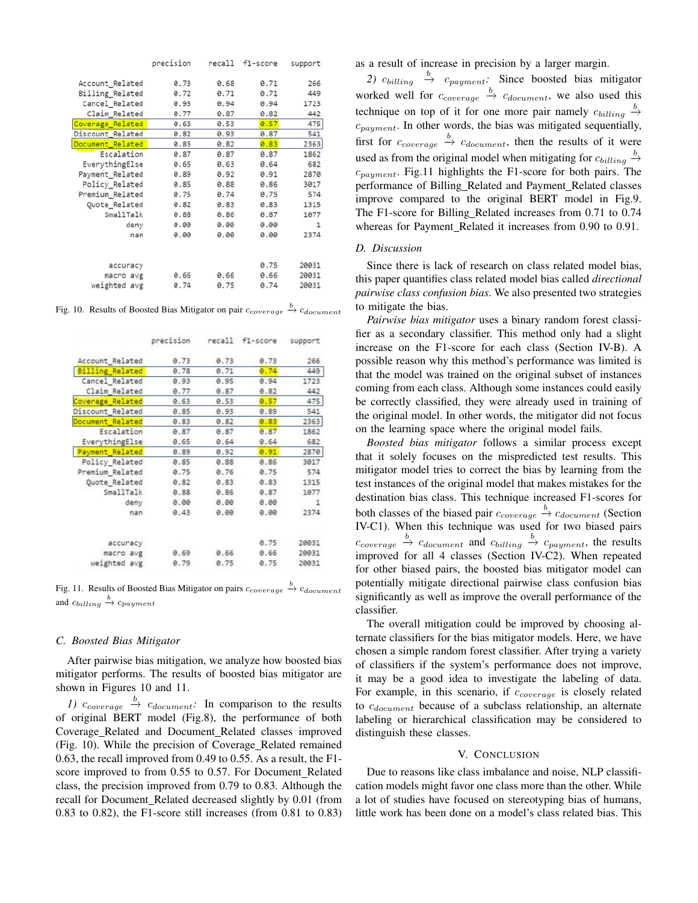|                  | precision | recall | f1-score | support |
|------------------|-----------|--------|----------|---------|
| Account_Related  | 0.73      | 0.68   | 0.71     | 266     |
| Billing Related  | 0.72      | 0.71   | 0.71     | 449     |
| Cancel Related   | 0.93      | 0.94   | 0.94     | 1723    |
| Claim_Related    | 0.77      | 0.87   | 0.82     | 442     |
| Coverage Related | 0.63      | 0.53   | 0.57     | 475     |
| Discount Related | 0.82      | 0.93   | 0.87     | 541     |
| Document Related | 0.83      | 0.82   | 0.83     | 2363    |
| Escalation       | 0.87      | 0.87   | 0.87     | 1862    |
| EverythingElse   | 0.65      | 0.63   | 0.64     | 682     |
| Payment_Related  | 0.89      | 0.92   | 0.91     | 2870    |
| Policy Related   | 0.85      | 0.88   | 0.86     | 3017    |
| Premium_Related  | 0.75      | 0.74   | 0.75     | 574     |
| Quote_Related    | 0.82      | 0.83   | 0.83     | 1315    |
| SmallTalk        | 0.88      | 0.86   | 0.87     | 1077    |
| deny             | 0.00      | 0.00   | 0.00     | 1       |
| nan              | 0.00      | 0.00   | 0.00     | 2374    |
|                  |           |        |          |         |
| accuracy         |           |        | 0.75     | 20031   |
| macro avg        | 0.66      | 0.66   | 0.66     | 20031   |
| weighted avg     | 0.74      | 0.75   | 0.74     | 20031   |

Fig. 10. Results of Boosted Bias Mitigator on pair  $c_{coverage} \xrightarrow{b} c_{document}$ 

|                        | precision |      | recall f1-score | support |
|------------------------|-----------|------|-----------------|---------|
| Account Related        | 0.73      | 0.73 | 0.73            | 266     |
| <b>Billing Related</b> | 0.78      | 0.71 | 0.74            | 449     |
| Cancel_Related         | 0.93      | 0.95 | 0.94            | 1723    |
| Claim Related          | 0.77      | 0.87 | 0.82            | 442     |
| Coverage Related       | 0.63      | 0.53 | 0.57            | 475     |
| Discount_Related       | 0.85      | 0.93 | 0.89            | 541     |
| Document Related       | 0.83      | 0.82 | 0.83            | 2363    |
| Escalation             | 0.87      | 0.87 | 0.87            | 1862    |
| EverythingElse         | 0.65      | 0.64 | 0.64            | 682     |
| Payment Related        | 0.89      | 0.92 | 0.91            | 2870    |
| Policy Related         | 0.85      | 0.88 | 0.86            | 3017    |
| Premium Related        | 0.75      | 0.76 | 0.75            | 574     |
| Quote Related          | 0.82      | 0.83 | 0.83            | 1315    |
| SmallTalk              | 0.88      | 0.86 | 0.87            | 1077    |
| deny                   | 0.00      | 0.00 | 0.00            | 1       |
| nan                    | 0.43      | 0.00 | 0.00            | 2374    |
| accuracy               |           |      | 0.75            | 20031   |
| macro avg              | 0.69      | 0.66 | 0.66            | 20031   |
| weighted avg           | 0.79      | 0.75 | 0.75            | 20031   |

Fig. 11. Results of Boosted Bias Mitigator on pairs  $c_{coverage} \stackrel{b}{\rightarrow} c_{document}$ and  $c_{billing} \stackrel{b}{\rightarrow} c_{payment}$ 

#### *C. Boosted Bias Mitigator*

After pairwise bias mitigation, we analyze how boosted bias mitigator performs. The results of boosted bias mitigator are shown in Figures 10 and 11.

*1)*  $c_{coverage} \stackrel{b}{\rightarrow} c_{document}$ : In comparison to the results of original BERT model (Fig.8), the performance of both Coverage Related and Document Related classes improved (Fig. 10). While the precision of Coverage Related remained 0.63, the recall improved from 0.49 to 0.55. As a result, the F1 score improved to from 0.55 to 0.57. For Document\_Related class, the precision improved from 0.79 to 0.83. Although the recall for Document\_Related decreased slightly by 0.01 (from 0.83 to 0.82), the F1-score still increases (from 0.81 to 0.83) as a result of increase in precision by a larger margin.

2)  $c_{\text{billing}} \stackrel{b}{\rightarrow} c_{\text{payment}}$ . Since boosted bias mitigator worked well for  $c_{coverage} \stackrel{b}{\rightarrow} c_{document}$ , we also used this technique on top of it for one more pair namely  $c_{\text{billing}} \stackrel{b}{\rightarrow}$  $c_{payment}$ . In other words, the bias was mitigated sequentially, first for  $c_{coverage} \stackrel{b}{\rightarrow} c_{document}$ , then the results of it were used as from the original model when mitigating for  $c_{\text{billing}} \stackrel{b}{\rightarrow}$  $c_{payment}$ . Fig.11 highlights the F1-score for both pairs. The performance of Billing\_Related and Payment\_Related classes improve compared to the original BERT model in Fig.9. The F1-score for Billing\_Related increases from 0.71 to 0.74 whereas for Payment\_Related it increases from 0.90 to 0.91.

#### *D. Discussion*

Since there is lack of research on class related model bias, this paper quantifies class related model bias called *directional pairwise class confusion bias*. We also presented two strategies to mitigate the bias.

*Pairwise bias mitigator* uses a binary random forest classifier as a secondary classifier. This method only had a slight increase on the F1-score for each class (Section IV-B). A possible reason why this method's performance was limited is that the model was trained on the original subset of instances coming from each class. Although some instances could easily be correctly classified, they were already used in training of the original model. In other words, the mitigator did not focus on the learning space where the original model fails.

*Boosted bias mitigator* follows a similar process except that it solely focuses on the mispredicted test results. This mitigator model tries to correct the bias by learning from the test instances of the original model that makes mistakes for the destination bias class. This technique increased F1-scores for both classes of the biased pair  $c_{coverage} \stackrel{b}{\rightarrow} c_{document}$  (Section IV-C1). When this technique was used for two biased pairs  $c_{coverage} \stackrel{b}{\rightarrow} c_{document}$  and  $c_{billing} \stackrel{b}{\rightarrow} c_{payment}$ , the results improved for all 4 classes (Section IV-C2). When repeated for other biased pairs, the boosted bias mitigator model can potentially mitigate directional pairwise class confusion bias significantly as well as improve the overall performance of the classifier.

The overall mitigation could be improved by choosing alternate classifiers for the bias mitigator models. Here, we have chosen a simple random forest classifier. After trying a variety of classifiers if the system's performance does not improve, it may be a good idea to investigate the labeling of data. For example, in this scenario, if  $c_{coverage}$  is closely related to  $c_{document}$  because of a subclass relationship, an alternate labeling or hierarchical classification may be considered to distinguish these classes.

#### V. CONCLUSION

Due to reasons like class imbalance and noise, NLP classification models might favor one class more than the other. While a lot of studies have focused on stereotyping bias of humans, little work has been done on a model's class related bias. This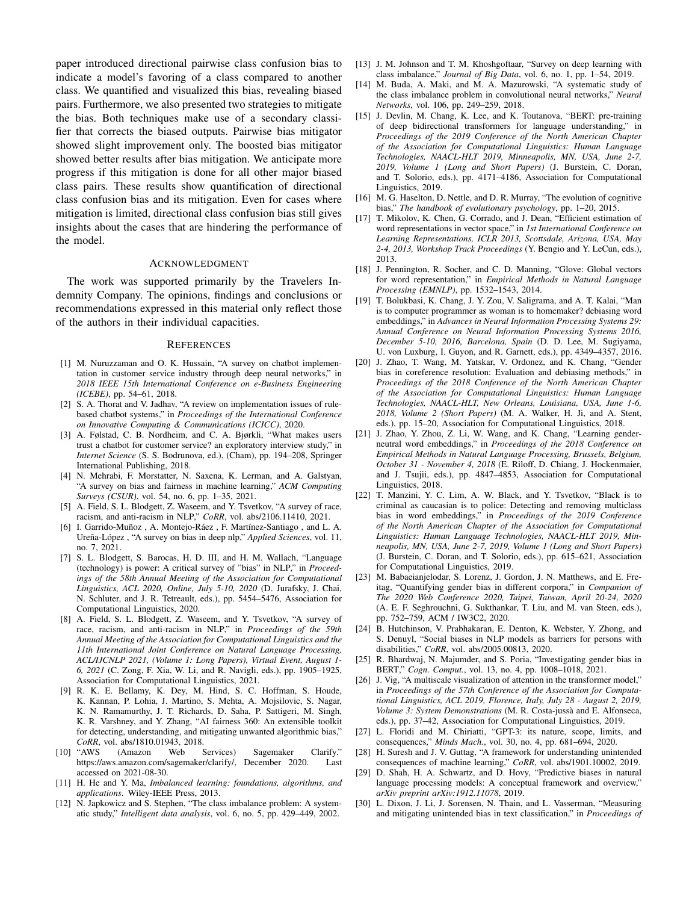paper introduced directional pairwise class confusion bias to indicate a model's favoring of a class compared to another class. We quantified and visualized this bias, revealing biased pairs. Furthermore, we also presented two strategies to mitigate the bias. Both techniques make use of a secondary classifier that corrects the biased outputs. Pairwise bias mitigator showed slight improvement only. The boosted bias mitigator showed better results after bias mitigation. We anticipate more progress if this mitigation is done for all other major biased class pairs. These results show quantification of directional class confusion bias and its mitigation. Even for cases where mitigation is limited, directional class confusion bias still gives insights about the cases that are hindering the performance of the model.

#### ACKNOWLEDGMENT

The work was supported primarily by the Travelers Indemnity Company. The opinions, findings and conclusions or recommendations expressed in this material only reflect those of the authors in their individual capacities.

#### **REFERENCES**

- [1] M. Nuruzzaman and O. K. Hussain, "A survey on chatbot implementation in customer service industry through deep neural networks," in *2018 IEEE 15th International Conference on e-Business Engineering (ICEBE)*, pp. 54–61, 2018.
- [2] S. A. Thorat and V. Jadhav, "A review on implementation issues of rulebased chatbot systems," in *Proceedings of the International Conference on Innovative Computing & Communications (ICICC)*, 2020.
- [3] A. Følstad, C. B. Nordheim, and C. A. Bjørkli, "What makes users trust a chatbot for customer service? an exploratory interview study," in *Internet Science* (S. S. Bodrunova, ed.), (Cham), pp. 194–208, Springer International Publishing, 2018.
- [4] N. Mehrabi, F. Morstatter, N. Saxena, K. Lerman, and A. Galstyan, "A survey on bias and fairness in machine learning," *ACM Computing Surveys (CSUR)*, vol. 54, no. 6, pp. 1–35, 2021.
- [5] A. Field, S. L. Blodgett, Z. Waseem, and Y. Tsvetkov, "A survey of race, racism, and anti-racism in NLP," *CoRR*, vol. abs/2106.11410, 2021.
- [6] I. Garrido-Muñoz, A. Montejo-Ráez, F. Martínez-Santiago, and L. A. Ureña-López, "A survey on bias in deep nlp," Applied Sciences, vol. 11, no. 7, 2021.
- [7] S. L. Blodgett, S. Barocas, H. D. III, and H. M. Wallach, "Language (technology) is power: A critical survey of "bias" in NLP," in *Proceedings of the 58th Annual Meeting of the Association for Computational Linguistics, ACL 2020, Online, July 5-10, 2020* (D. Jurafsky, J. Chai, N. Schluter, and J. R. Tetreault, eds.), pp. 5454–5476, Association for Computational Linguistics, 2020.
- [8] A. Field, S. L. Blodgett, Z. Waseem, and Y. Tsvetkov, "A survey of race, racism, and anti-racism in NLP," in *Proceedings of the 59th Annual Meeting of the Association for Computational Linguistics and the 11th International Joint Conference on Natural Language Processing, ACL/IJCNLP 2021, (Volume 1: Long Papers), Virtual Event, August 1- 6, 2021* (C. Zong, F. Xia, W. Li, and R. Navigli, eds.), pp. 1905–1925, Association for Computational Linguistics, 2021.
- [9] R. K. E. Bellamy, K. Dey, M. Hind, S. C. Hoffman, S. Houde, K. Kannan, P. Lohia, J. Martino, S. Mehta, A. Mojsilovic, S. Nagar, K. N. Ramamurthy, J. T. Richards, D. Saha, P. Sattigeri, M. Singh, K. R. Varshney, and Y. Zhang, "AI fairness 360: An extensible toolkit for detecting, understanding, and mitigating unwanted algorithmic bias," *CoRR*, vol. abs/1810.01943, 2018.
- [10] "AWS (Amazon Web Services) Sagemaker Clarify." https://aws.amazon.com/sagemaker/clarify/, December 2020. Last accessed on 2021-08-30.
- [11] H. He and Y. Ma, *Imbalanced learning: foundations, algorithms, and applications*. Wiley-IEEE Press, 2013.
- [12] N. Japkowicz and S. Stephen, "The class imbalance problem: A systematic study," *Intelligent data analysis*, vol. 6, no. 5, pp. 429–449, 2002.
- [13] J. M. Johnson and T. M. Khoshgoftaar, "Survey on deep learning with class imbalance," *Journal of Big Data*, vol. 6, no. 1, pp. 1–54, 2019.
- [14] M. Buda, A. Maki, and M. A. Mazurowski, "A systematic study of the class imbalance problem in convolutional neural networks," *Neural Networks*, vol. 106, pp. 249–259, 2018.
- [15] J. Devlin, M. Chang, K. Lee, and K. Toutanova, "BERT: pre-training of deep bidirectional transformers for language understanding," in *Proceedings of the 2019 Conference of the North American Chapter of the Association for Computational Linguistics: Human Language Technologies, NAACL-HLT 2019, Minneapolis, MN, USA, June 2-7, 2019, Volume 1 (Long and Short Papers)* (J. Burstein, C. Doran, and T. Solorio, eds.), pp. 4171–4186, Association for Computational Linguistics, 2019.
- [16] M. G. Haselton, D. Nettle, and D. R. Murray, "The evolution of cognitive bias," *The handbook of evolutionary psychology*, pp. 1–20, 2015.
- [17] T. Mikolov, K. Chen, G. Corrado, and J. Dean, "Efficient estimation of word representations in vector space," in *1st International Conference on Learning Representations, ICLR 2013, Scottsdale, Arizona, USA, May 2-4, 2013, Workshop Track Proceedings* (Y. Bengio and Y. LeCun, eds.), 2013.
- [18] J. Pennington, R. Socher, and C. D. Manning, "Glove: Global vectors for word representation," in *Empirical Methods in Natural Language Processing (EMNLP)*, pp. 1532–1543, 2014.
- [19] T. Bolukbasi, K. Chang, J. Y. Zou, V. Saligrama, and A. T. Kalai, "Man is to computer programmer as woman is to homemaker? debiasing word embeddings," in *Advances in Neural Information Processing Systems 29: Annual Conference on Neural Information Processing Systems 2016, December 5-10, 2016, Barcelona, Spain* (D. D. Lee, M. Sugiyama, U. von Luxburg, I. Guyon, and R. Garnett, eds.), pp. 4349–4357, 2016.
- [20] J. Zhao, T. Wang, M. Yatskar, V. Ordonez, and K. Chang, "Gender bias in coreference resolution: Evaluation and debiasing methods," in *Proceedings of the 2018 Conference of the North American Chapter of the Association for Computational Linguistics: Human Language Technologies, NAACL-HLT, New Orleans, Louisiana, USA, June 1-6, 2018, Volume 2 (Short Papers)* (M. A. Walker, H. Ji, and A. Stent, eds.), pp. 15–20, Association for Computational Linguistics, 2018.
- [21] J. Zhao, Y. Zhou, Z. Li, W. Wang, and K. Chang, "Learning genderneutral word embeddings," in *Proceedings of the 2018 Conference on Empirical Methods in Natural Language Processing, Brussels, Belgium, October 31 - November 4, 2018* (E. Riloff, D. Chiang, J. Hockenmaier, and J. Tsujii, eds.), pp. 4847–4853, Association for Computational Linguistics, 2018.
- [22] T. Manzini, Y. C. Lim, A. W. Black, and Y. Tsvetkov, "Black is to criminal as caucasian is to police: Detecting and removing multiclass bias in word embeddings," in *Proceedings of the 2019 Conference of the North American Chapter of the Association for Computational Linguistics: Human Language Technologies, NAACL-HLT 2019, Minneapolis, MN, USA, June 2-7, 2019, Volume 1 (Long and Short Papers)* (J. Burstein, C. Doran, and T. Solorio, eds.), pp. 615–621, Association for Computational Linguistics, 2019.
- [23] M. Babaeianjelodar, S. Lorenz, J. Gordon, J. N. Matthews, and E. Freitag, "Quantifying gender bias in different corpora," in *Companion of The 2020 Web Conference 2020, Taipei, Taiwan, April 20-24, 2020* (A. E. F. Seghrouchni, G. Sukthankar, T. Liu, and M. van Steen, eds.), pp. 752–759, ACM / IW3C2, 2020.
- [24] B. Hutchinson, V. Prabhakaran, E. Denton, K. Webster, Y. Zhong, and S. Denuyl, "Social biases in NLP models as barriers for persons with disabilities," *CoRR*, vol. abs/2005.00813, 2020.
- [25] R. Bhardwaj, N. Majumder, and S. Poria, "Investigating gender bias in BERT," *Cogn. Comput.*, vol. 13, no. 4, pp. 1008–1018, 2021.
- [26] J. Vig, "A multiscale visualization of attention in the transformer model," in *Proceedings of the 57th Conference of the Association for Computational Linguistics, ACL 2019, Florence, Italy, July 28 - August 2, 2019, Volume 3: System Demonstrations* (M. R. Costa-jussà and E. Alfonseca, eds.), pp. 37–42, Association for Computational Linguistics, 2019.
- [27] L. Floridi and M. Chiriatti, "GPT-3: its nature, scope, limits, and consequences," *Minds Mach.*, vol. 30, no. 4, pp. 681–694, 2020.
- [28] H. Suresh and J. V. Guttag, "A framework for understanding unintended consequences of machine learning," *CoRR*, vol. abs/1901.10002, 2019.
- [29] D. Shah, H. A. Schwartz, and D. Hovy, "Predictive biases in natural language processing models: A conceptual framework and overview," *arXiv preprint arXiv:1912.11078*, 2019.
- [30] L. Dixon, J. Li, J. Sorensen, N. Thain, and L. Vasserman, "Measuring and mitigating unintended bias in text classification," in *Proceedings of*